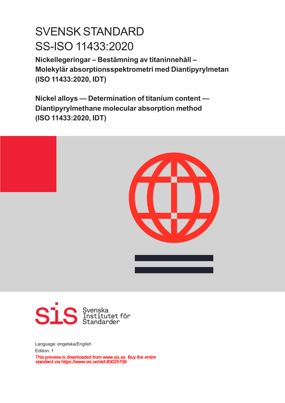# SVENSK STANDARD SS-ISO 11433:2020

**Nickellegeringar – Bestämning av titaninnehåll – Molekylär absorptionsspektrometri med Diantipyrylmetan (ISO 11433:2020, IDT)**

**Nickel alloys — Determination of titanium content — Diantipyrylmethane molecular absorption method (ISO 11433:2020, IDT)**





Language: engelska/English Edition: 1 This preview is downloaded from www.sis.se. Buy the entire standard via https://www.sis.se/std-80025708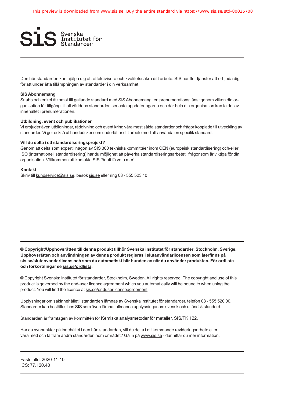

Den här standarden kan hjälpa dig att effektivisera och kvalitetssäkra ditt arbete. SIS har fler tjänster att erbjuda dig för att underlätta tillämpningen av standarder i din verksamhet.

#### **SIS Abonnemang**

Snabb och enkel åtkomst till gällande standard med SIS Abonnemang, en prenumerationstjänst genom vilken din organisation får tillgång till all världens standarder, senaste uppdateringarna och där hela din organisation kan ta del av innehållet i prenumerationen.

#### **Utbildning, event och publikationer**

Vi erbjuder även utbildningar, rådgivning och event kring våra mest sålda standarder och frågor kopplade till utveckling av standarder. Vi ger också ut handböcker som underlättar ditt arbete med att använda en specifik standard.

#### **Vill du delta i ett standardiseringsprojekt?**

Genom att delta som expert i någon av SIS 300 tekniska kommittéer inom CEN (europeisk standardisering) och/eller ISO (internationell standardisering) har du möjlighet att påverka standardiseringsarbetet i frågor som är viktiga för din organisation. Välkommen att kontakta SIS för att få veta mer!

#### **Kontakt**

Skriv till kundservice@sis.se, besök sis.se eller ring 08 - 555 523 10

**© Copyright/Upphovsrätten till denna produkt tillhör Svenska institutet för standarder, Stockholm, Sverige. Upphovsrätten och användningen av denna produkt regleras i slutanvändarlicensen som återfinns på sis.se/slutanvandarlicens och som du automatiskt blir bunden av när du använder produkten. För ordlista och förkortningar se sis.se/ordlista.**

© Copyright Svenska institutet för standarder, Stockholm, Sweden. All rights reserved. The copyright and use of this product is governed by the end-user licence agreement which you automatically will be bound to when using the product. You will find the licence at sis.se/enduserlicenseagreement.

Upplysningar om sakinnehållet i standarden lämnas av Svenska institutet för standarder, telefon 08 - 555 520 00. Standarder kan beställas hos SIS som även lämnar allmänna upplysningar om svensk och utländsk standard.

Standarden är framtagen av kommittén för Kemiska analysmetoder för metaller, SIS/TK 122.

Har du synpunkter på innehållet i den här standarden, vill du delta i ett kommande revideringsarbete eller vara med och ta fram andra standarder inom området? Gå in på www.sis.se - där hittar du mer information.

Fastställd: 2020-11-10 ICS: 77.120.40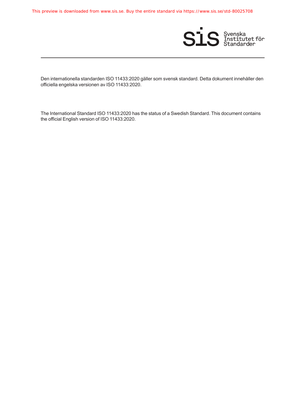This preview is downloaded from www.sis.se. Buy the entire standard via https://www.sis.se/std-80025708



Den internationella standarden ISO 11433:2020 gäller som svensk standard. Detta dokument innehåller den officiella engelska versionen av ISO 11433:2020.

The International Standard ISO 11433:2020 has the status of a Swedish Standard. This document contains the official English version of ISO 11433:2020.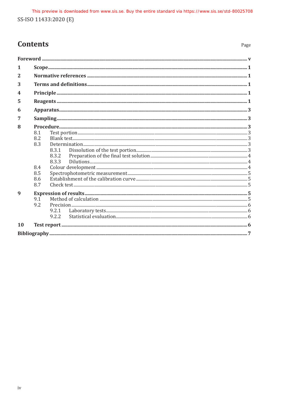# **Contents**

| ×<br>٧<br>۰,<br>×<br>v |
|------------------------|
|------------------------|

| 1              |                                            |  |  |
|----------------|--------------------------------------------|--|--|
| $\overline{2}$ |                                            |  |  |
| 3              |                                            |  |  |
| 4              |                                            |  |  |
| 5              |                                            |  |  |
| 6              |                                            |  |  |
| 7              |                                            |  |  |
| 8              | 8.1<br>8.2<br>8.3<br>8.3.1                 |  |  |
|                | 8.3.2<br>8.3.3<br>8.4<br>8.5<br>8.6<br>8.7 |  |  |
| $\mathbf q$    | 9.1<br>9.2<br>9.2.1<br>9.2.2               |  |  |
| <b>10</b>      |                                            |  |  |
|                |                                            |  |  |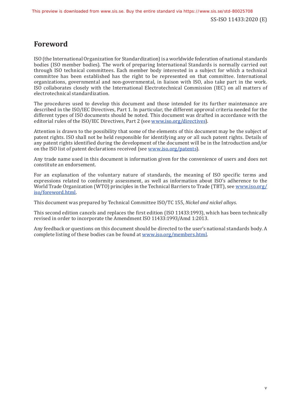## <span id="page-4-0"></span>**Foreword**

ISO (the International Organization for Standardization) is a worldwide federation of national standards bodies (ISO member bodies). The work of preparing International Standards is normally carried out through ISO technical committees. Each member body interested in a subject for which a technical committee has been established has the right to be represented on that committee. International organizations, governmental and non-governmental, in liaison with ISO, also take part in the work. ISO collaborates closely with the International Electrotechnical Commission (IEC) on all matters of electrotechnical standardization.

The procedures used to develop this document and those intended for its further maintenance are described in the ISO/IEC Directives, Part 1. In particular, the different approval criteria needed for the different types of ISO documents should be noted. This document was drafted in accordance with the editorial rules of the ISO/IEC Directives, Part 2 (see [www.iso.org/directives\)](https://www.iso.org/directives-and-policies.html).

Attention is drawn to the possibility that some of the elements of this document may be the subject of patent rights. ISO shall not be held responsible for identifying any or all such patent rights. Details of any patent rights identified during the development of the document will be in the Introduction and/or on the ISO list of patent declarations received (see [www.iso.org/patents](https://www.iso.org/iso-standards-and-patents.html)).

Any trade name used in this document is information given for the convenience of users and does not constitute an endorsement.

For an explanation of the voluntary nature of standards, the meaning of ISO specific terms and expressions related to conformity assessment, as well as information about ISO's adherence to the World Trade Organization (WTO) principles in the Technical Barriers to Trade (TBT), see [www.iso.org/](https://www.iso.org/foreword-supplementary-information.html) [iso/foreword.html.](https://www.iso.org/foreword-supplementary-information.html)

This document was prepared by Technical Committee ISO/TC 155, *Nickel and nickel alloys*.

This second edition cancels and replaces the first edition (ISO 11433:1993), which has been technically revised in order to incorporate the Amendment ISO 11433:1993/Amd 1:2013.

Any feedback or questions on this document should be directed to the user's national standards body. A complete listing of these bodies can be found at [www.iso.org/members.html.](https://www.iso.org/members.html)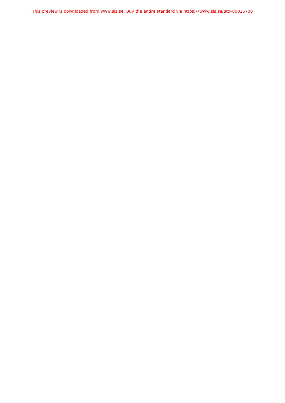This preview is downloaded from www.sis.se. Buy the entire standard via https://www.sis.se/std-80025708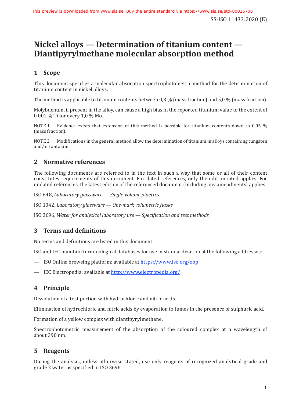# **Nickel alloys — Determination of titanium content — Diantipyrylmethane molecular absorption method**

## <span id="page-6-0"></span>**1 Scope**

This document specifies a molecular absorption spectrophotometric method for the determination of titanium content in nickel alloys.

The method is applicable to titanium contents between 0,3 % (mass fraction) and 5,0 % (mass fraction).

Molybdenum, if present in the alloy, can cause a high bias in the reported titanium value to the extent of 0,001 % Ti for every 1,0 % Mo.

NOTE 1 Evidence exists that extension of this method is possible for titanium contents down to 0,05  $\%$ (mass fraction).

NOTE 2 Modifications in the general method allow the determination of titanium in alloys containing tungsten and/or tantalum.

### <span id="page-6-1"></span>**2 Normative references**

The following documents are referred to in the text in such a way that some or all of their content constitutes requirements of this document. For dated references, only the edition cited applies. For undated references, the latest edition of the referenced document (including any amendments) applies.

ISO 648, *Laboratory glassware — Single-volume pipettes*

ISO 1042, *Laboratory glassware — One-mark volumetric flasks*

ISO 3696, *Water for analytical laboratory use — Specification and test methods*

## <span id="page-6-2"></span>**3 Terms and definitions**

No terms and definitions are listed in this document.

ISO and IEC maintain terminological databases for use in standardization at the following addresses:

- ISO Online browsing platform: available at [https://www.iso.org/obp](https://www.iso.org/obp/ui)
- IEC Electropedia: available at<http://www.electropedia.org/>

## <span id="page-6-3"></span>**4 Principle**

Dissolution of a test portion with hydrochloric and nitric acids.

Elimination of hydrochloric and nitric acids by evaporation to fumes in the presence of sulphuric acid.

Formation of a yellow complex with diantipyrylmethane.

Spectrophotometric measurement of the absorption of the coloured complex at a wavelength of about 390 nm.

#### <span id="page-6-4"></span>**5 Reagents**

During the analysis, unless otherwise stated, use only reagents of recognized analytical grade and grade 2 water as specified in ISO 3696.